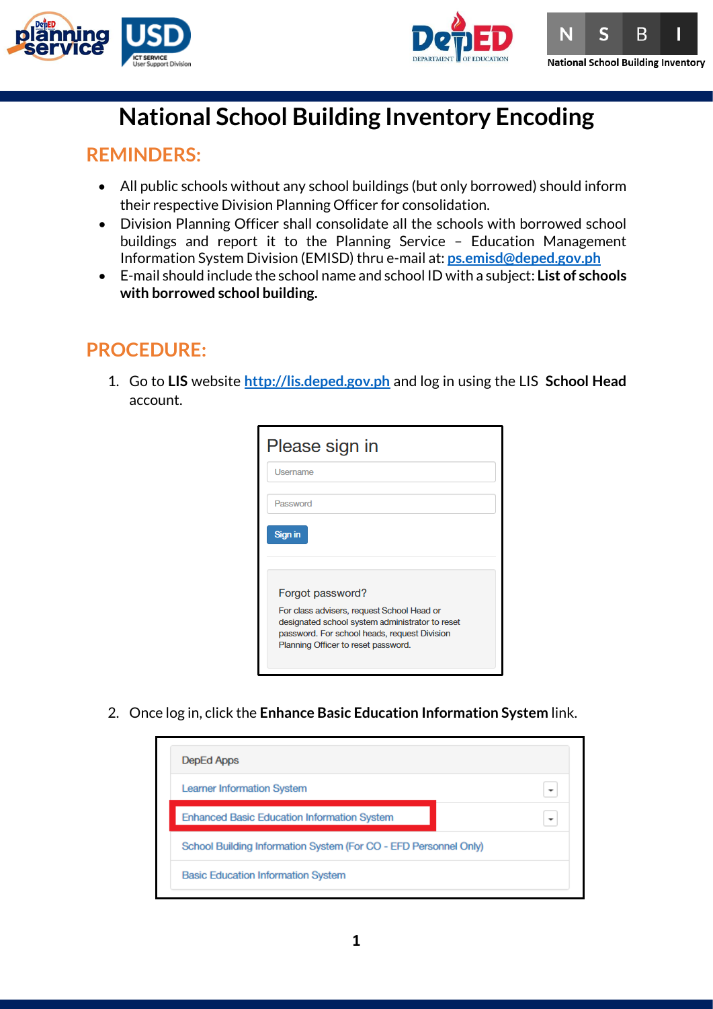





# **National School Building Inventory Encoding**

### **REMINDERS:**

- All public schools without any school buildings (but only borrowed) should inform their respective Division Planning Officer for consolidation.
- Division Planning Officer shall consolidate all the schools with borrowed school buildings and report it to the Planning Service – Education Management Information System Division (EMISD) thru e-mail at: **[ps.emisd@deped.gov.ph](mailto:ps.emisd@deped.gov.ph)**
- E-mail should include the school name and school ID with a subject: **List of schools with borrowed school building.**

## **PROCEDURE:**

1. Go to **LIS** website **[http://lis.deped.gov.ph](http://lis.deped.gov.ph/)** and log in using the LIS **School Head**  account.

| Please sign in                                                                                                                                                                       |  |
|--------------------------------------------------------------------------------------------------------------------------------------------------------------------------------------|--|
| Username                                                                                                                                                                             |  |
| Password                                                                                                                                                                             |  |
| Sign in                                                                                                                                                                              |  |
| Forgot password?                                                                                                                                                                     |  |
| For class advisers, request School Head or<br>designated school system administrator to reset<br>password. For school heads, request Division<br>Planning Officer to reset password. |  |

2. Once log in, click the **Enhance Basic Education Information System** link.

| DepEd Apps                                                       |                          |  |  |  |  |  |  |
|------------------------------------------------------------------|--------------------------|--|--|--|--|--|--|
| <b>Learner Information System</b>                                |                          |  |  |  |  |  |  |
| <b>Enhanced Basic Education Information System</b>               | $\overline{\phantom{a}}$ |  |  |  |  |  |  |
| School Building Information System (For CO - EFD Personnel Only) |                          |  |  |  |  |  |  |
| <b>Basic Education Information System</b>                        |                          |  |  |  |  |  |  |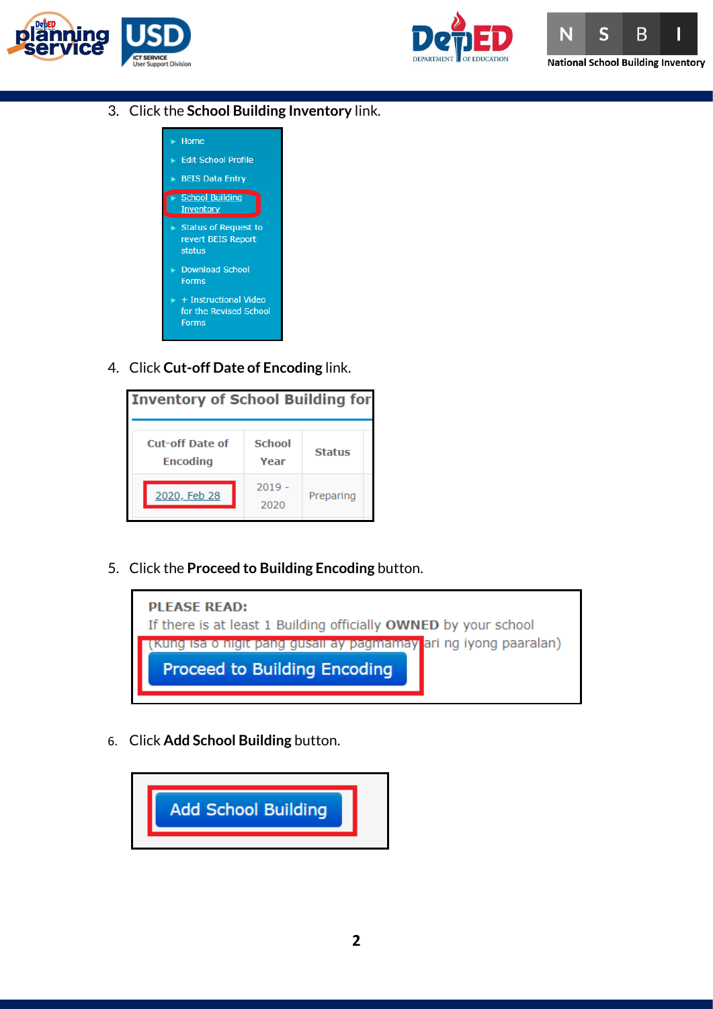





3. Click the **School Building Inventory** link.



4. Click **Cut-off Date of Encoding** link.



5. Click the **Proceed to Building Encoding** button.



6. Click **Add School Building** button.

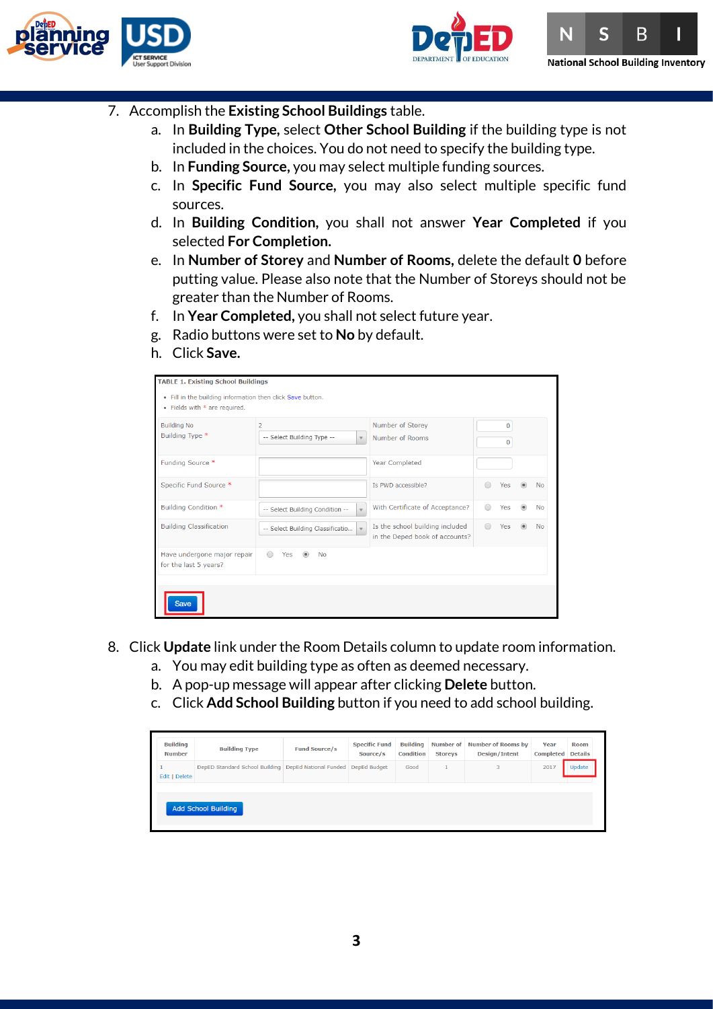





- 7. Accomplish the **Existing School Buildings** table.
	- a. In **Building Type,** select **Other School Building** if the building type is not included in the choices. You do not need to specify the building type.
	- b. In **Funding Source,** you may select multiple funding sources.
	- c. In **Specific Fund Source,** you may also select multiple specific fund sources.
	- d. In **Building Condition,** you shall not answer **Year Completed** if you selected **For Completion.**
	- e. In **Number of Storey** and **Number of Rooms,** delete the default **0** before putting value. Please also note that the Number of Storeys should not be greater than the Number of Rooms.
	- f. In **Year Completed,** you shall not select future year.
	- g. Radio buttons were set to **No** by default.
	- h. Click **Save.**

| <b>TABLE 1. Existing School Buildings</b><br>. Fill in the building information then click Save button.<br>• Fields with * are required. |                                              |              |                                                                   |                            |           |
|------------------------------------------------------------------------------------------------------------------------------------------|----------------------------------------------|--------------|-------------------------------------------------------------------|----------------------------|-----------|
| <b>Building No</b><br>Building Type *                                                                                                    | $\overline{2}$<br>-- Select Building Type -- | $\mathbf v$  | Number of Storey<br>Number of Rooms                               | $\overline{0}$<br>$\Omega$ |           |
| Funding Source *                                                                                                                         |                                              |              | <b>Year Completed</b>                                             |                            |           |
| Specific Fund Source *                                                                                                                   |                                              |              | Is PWD accessible?                                                | Yes                        | No        |
| <b>Building Condition *</b>                                                                                                              | -- Select Building Condition --              | $\mathbf{v}$ | With Certificate of Acceptance?                                   | Yes                        | No        |
| <b>Building Classification</b>                                                                                                           | -- Select Building Classificatio             | $\mathbf{v}$ | Is the school building included<br>in the Deped book of accounts? | Yes                        | <b>No</b> |
| Have undergone major repair<br>for the last 5 years?                                                                                     | Yes<br>$\bigcirc$<br><b>No</b>               |              |                                                                   |                            |           |
|                                                                                                                                          |                                              |              |                                                                   |                            |           |

- 8. Click **Update** link under the Room Details column to update room information.
	- a. You may edit building type as often as deemed necessary.
	- b. A pop-up message will appear after clicking **Delete** button.
	- c. Click **Add School Building** button if you need to add school building.

| DepED Standard School Building   DepEd National Funded   DepEd Budget |  |      |   |      |        |
|-----------------------------------------------------------------------|--|------|---|------|--------|
|                                                                       |  | Good | 3 | 2017 | Update |
| Edit   Delete                                                         |  |      |   |      |        |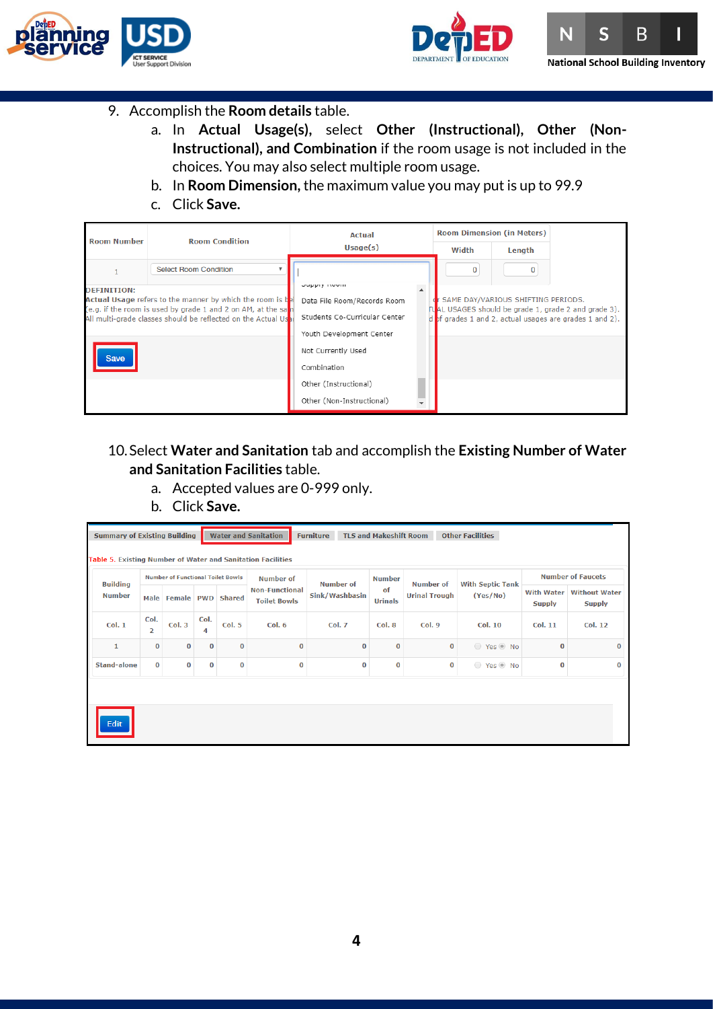



 $\overline{\mathbf{S}}$ B N **National School Building Inventory** 

- 9. Accomplish the **Room details** table.
	- a. In **Actual Usage(s),** select **Other (Instructional), Other (Non-Instructional), and Combination** if the room usage is not included in the choices. You may also select multiple room usage.
	- b. In **Room Dimension,** the maximum value you may put is up to 99.9
	- c. Click **Save.**



### 10.Select **Water and Sanitation** tab and accomplish the **Existing Number of Water and Sanitation Facilities** table.

- a. Accepted values are 0-999 only.
- b. Click **Save.**

|                                  | <b>Water and Sanitation</b><br><b>TLS and Makeshift Room</b><br><b>Summary of Existing Building</b><br><b>Furniture</b><br><b>Other Facilities</b><br>Table 5. Existing Number of Water and Sanitation Facilities |                                          |            |               |                                              |                             |                      |                                          |                                     |                                    |                                       |  |  |  |
|----------------------------------|-------------------------------------------------------------------------------------------------------------------------------------------------------------------------------------------------------------------|------------------------------------------|------------|---------------|----------------------------------------------|-----------------------------|----------------------|------------------------------------------|-------------------------------------|------------------------------------|---------------------------------------|--|--|--|
|                                  |                                                                                                                                                                                                                   | <b>Number of Functional Toilet Bowls</b> |            |               | <b>Number of</b>                             |                             | <b>Number</b>        |                                          |                                     | <b>Number of Faucets</b>           |                                       |  |  |  |
| <b>Building</b><br><b>Number</b> |                                                                                                                                                                                                                   | Male Female                              | <b>PWD</b> | <b>Shared</b> | <b>Non-Functional</b><br><b>Toilet Bowls</b> | Number of<br>Sink/Washbasin | of<br><b>Urinals</b> | <b>Number of</b><br><b>Urinal Trough</b> | <b>With Septic Tank</b><br>(Yes/No) | <b>With Water</b><br><b>Supply</b> | <b>Without Water</b><br><b>Supply</b> |  |  |  |
| Col. 1                           | Col.<br>$\overline{2}$                                                                                                                                                                                            | Col.3                                    | Col.<br>4  | Col. 5        | Col. 6                                       | <b>Col. 7</b>               | Col. 8               | Col.9                                    | <b>Col. 10</b>                      | <b>Col. 11</b>                     | <b>Col. 12</b>                        |  |  |  |
| $\mathbf{1}$                     | 0                                                                                                                                                                                                                 | $\bf{0}$                                 | $\bf{0}$   | $\bf{0}$      | $\bf{0}$                                     | $\bf{0}$                    | $\bf{0}$             | $\bf{0}$                                 | ◯ Yes ◉ No                          | $\bf{0}$                           | $\bf{0}$                              |  |  |  |
| <b>Stand-alone</b>               | 0                                                                                                                                                                                                                 | $\bf{0}$                                 | $\bf{0}$   | $\bf{0}$      | $\Omega$                                     | $\bf{0}$                    | $\bf{0}$             | $\bf{0}$                                 | ◯ Yes ⓒ No                          | $\bf{0}$                           | $\bf{0}$                              |  |  |  |
| Edit                             |                                                                                                                                                                                                                   |                                          |            |               |                                              |                             |                      |                                          |                                     |                                    |                                       |  |  |  |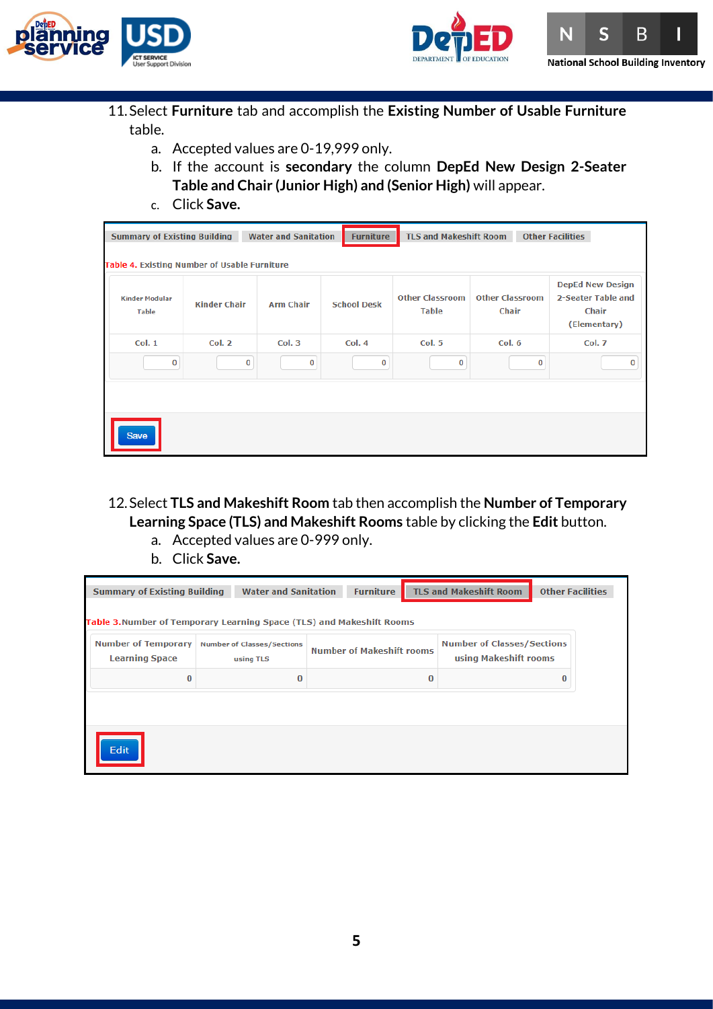





- 11.Select **Furniture** tab and accomplish the **Existing Number of Usable Furniture**  table.
	- a. Accepted values are 0-19,999 only.
	- b. If the account is **secondary** the column **DepEd New Design 2-Seater Table and Chair (Junior High) and (Senior High)** will appear.
	- c. Click **Save.**

|                                       | <b>TLS and Makeshift Room</b><br><b>Other Facilities</b><br><b>Summary of Existing Building</b><br><b>Water and Sanitation</b><br><b>Furniture</b><br>Table 4. Existing Number of Usable Furniture |          |                    |                                        |                                        |                                                                               |  |  |  |  |  |  |  |
|---------------------------------------|----------------------------------------------------------------------------------------------------------------------------------------------------------------------------------------------------|----------|--------------------|----------------------------------------|----------------------------------------|-------------------------------------------------------------------------------|--|--|--|--|--|--|--|
| <b>Kinder Modular</b><br><b>Table</b> | <b>Kinder Chair</b><br><b>Arm Chair</b>                                                                                                                                                            |          | <b>School Desk</b> | <b>Other Classroom</b><br><b>Table</b> | <b>Other Classroom</b><br><b>Chair</b> | <b>DepEd New Design</b><br>2-Seater Table and<br><b>Chair</b><br>(Elementary) |  |  |  |  |  |  |  |
| Col. 1                                | <b>Col. 2</b><br>Col. 3                                                                                                                                                                            |          | Col. 4             | <b>Col. 5</b>                          | Col. 6                                 | <b>Col. 7</b>                                                                 |  |  |  |  |  |  |  |
| 0                                     | 0                                                                                                                                                                                                  | $\bf{0}$ | 0                  | 0                                      | $\bf{0}$                               | 0                                                                             |  |  |  |  |  |  |  |
| <b>Save</b>                           |                                                                                                                                                                                                    |          |                    |                                        |                                        |                                                                               |  |  |  |  |  |  |  |

- 12.Select **TLS and Makeshift Room** tab then accomplish the **Number of Temporary Learning Space (TLS) and Makeshift Rooms** table by clicking the **Edit** button.
	- a. Accepted values are 0-999 only.
	- b. Click **Save.**

| <b>Summary of Existing Building</b>                                  |          | <b>Water and Sanitation</b>                    | <b>TLS and Makeshift Room</b><br><b>Furniture</b> |                                  |          |                                                            | <b>Other Facilities</b> |  |  |  |  |  |  |
|----------------------------------------------------------------------|----------|------------------------------------------------|---------------------------------------------------|----------------------------------|----------|------------------------------------------------------------|-------------------------|--|--|--|--|--|--|
| Table 3.Number of Temporary Learning Space (TLS) and Makeshift Rooms |          |                                                |                                                   |                                  |          |                                                            |                         |  |  |  |  |  |  |
| <b>Number of Temporary</b><br><b>Learning Space</b>                  |          | <b>Number of Classes/Sections</b><br>using TLS |                                                   | <b>Number of Makeshift rooms</b> |          | <b>Number of Classes/Sections</b><br>using Makeshift rooms |                         |  |  |  |  |  |  |
| $\bf{0}$                                                             | $\Omega$ |                                                |                                                   |                                  | $\bf{0}$ |                                                            | $\bf{0}$                |  |  |  |  |  |  |
| Edit                                                                 |          |                                                |                                                   |                                  |          |                                                            |                         |  |  |  |  |  |  |